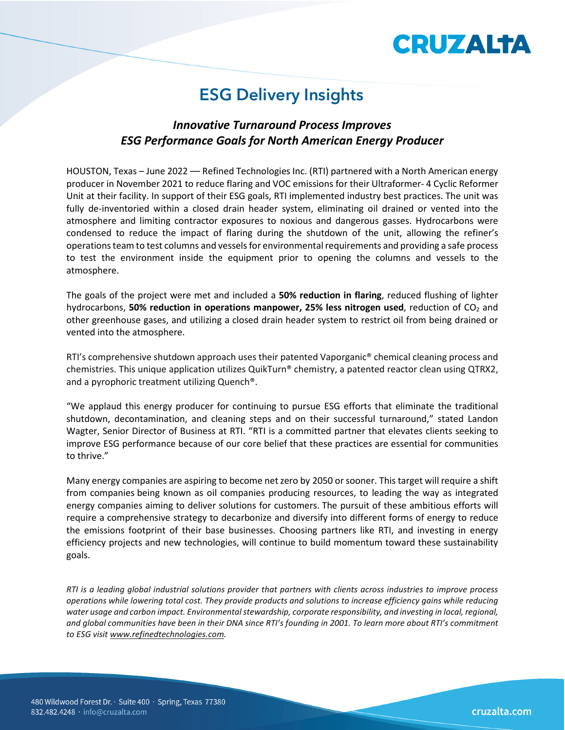# **CRUZALTA**

### **ESG Delivery Insights**

#### *Innovative Turnaround Process Improves ESG Performance Goals for North American Energy Producer*

HOUSTON, Texas – June 2022 –– Refined Technologies Inc. (RTI) partnered with a North American energy producer in November 2021 to reduce flaring and VOC emissions for their Ultraformer- 4 Cyclic Reformer Unit at their facility. In support of their ESG goals, RTI implemented industry best practices. The unit was fully de-inventoried within a closed drain header system, eliminating oil drained or vented into the atmosphere and limiting contractor exposures to noxious and dangerous gasses. Hydrocarbons were condensed to reduce the impact of flaring during the shutdown of the unit, allowing the refiner's operationsteam to test columns and vessels for environmental requirements and providing a safe process to test the environment inside the equipment prior to opening the columns and vessels to the atmosphere.

The goals of the project were met and included a **50% reduction in flaring**, reduced flushing of lighter hydrocarbons, **50% reduction in operations manpower, 25% less nitrogen used**, reduction of CO<sub>2</sub> and other greenhouse gases, and utilizing a closed drain header system to restrict oil from being drained or vented into the atmosphere.

RTI's comprehensive shutdown approach uses their patented Vaporganic<sup>®</sup> chemical cleaning process and chemistries. This unique application utilizes QuikTurn® chemistry, a patented reactor clean using QTRX2, and a pyrophoric treatment utilizing Quench®.

"We applaud this energy producer for continuing to pursue ESG efforts that eliminate the traditional shutdown, decontamination, and cleaning steps and on their successful turnaround," stated Landon Wagter, Senior Director of Business at RTI. "RTI is a committed partner that elevates clients seeking to improve ESG performance because of our core belief that these practices are essential for communities to thrive."

Many energy companies are aspiring to become net zero by 2050 or sooner. This target will require a shift from companies being known as oil companies producing resources, to leading the way as integrated energy companies aiming to deliver solutions for customers. The pursuit of these ambitious efforts will require a comprehensive strategy to decarbonize and diversify into different forms of energy to reduce the emissions footprint of their base businesses. Choosing partners like RTI, and investing in energy efficiency projects and new technologies, will continue to build momentum toward these sustainability goals.

*RTI is a leading global industrial solutions provider that partners with clients across industries to improve process operations while lowering total cost. They provide products and solutions to increase efficiency gains while reducing water usage and carbon impact. Environmental stewardship, corporate responsibility, and investing in local, regional, and global communities have been in their DNA since RTI's founding in 2001. To learn more about RTI's commitment to ESG visit [www.refinedtechnologies.com.](http://www.refinedtechnologies.com/)*